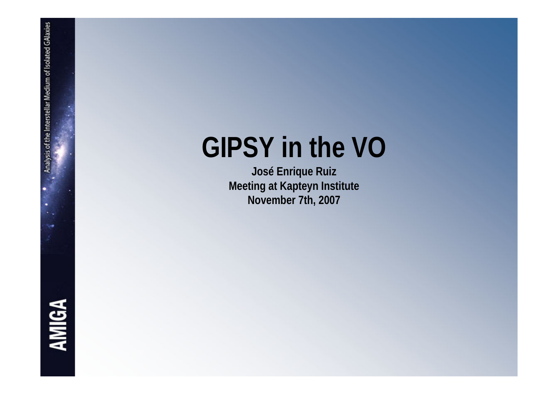## **GIPSY in the VO**

**José Enrique Ruiz Meeting at Kapteyn Institute November 7th, 2007**

**AMIGA**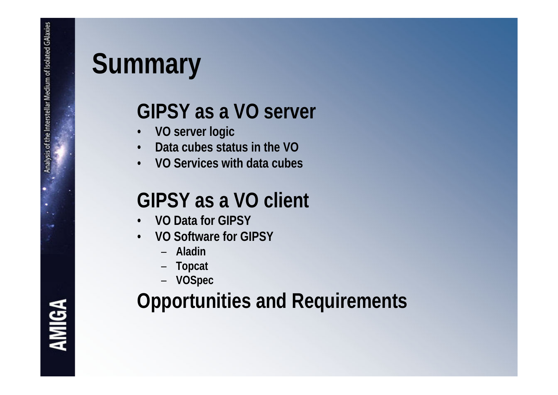## **Summary**

### **GIPSY as a VO server**

- •**VO server logic**
- •**Data cubes status in the VO**
- •**VO Services with data cubes**

#### **GIPSY as a VO client**

- •**VO Data for GIPSY**
- • **VO Software for GIPSY**
	- **Aladin**
	- –**Topcat**
	- **VOSpec**

### **Opportunities and Requirements**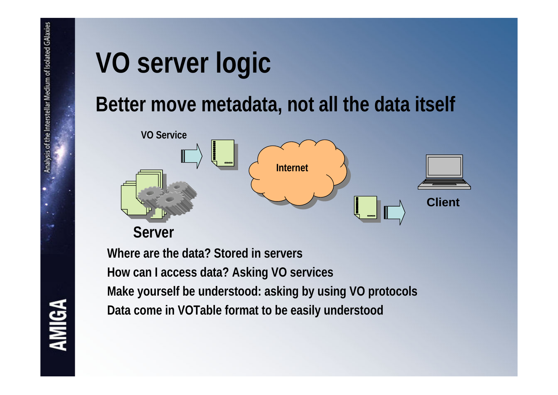## **VO server logic**

#### **Better move metadata, not all the data itself**



**Where are the data? Stored in servers How can I access data? Asking VO services Make yourself be understood: asking by using VO protocols Data come in VOTable format to be easily understood**

# **AMIGA**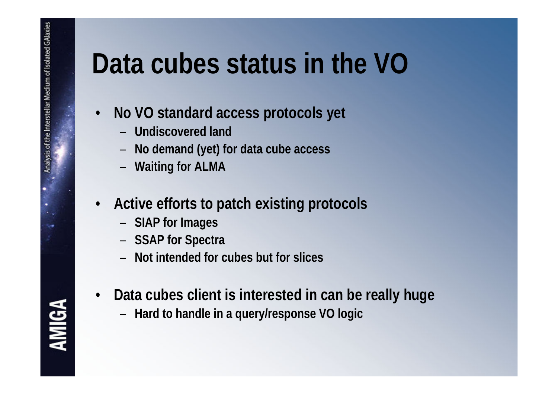## **Data cubes status in the VO**

- • **No VO standard access protocols yet**
	- **Undiscovered land**
	- –**No demand (yet) for data cube access**
	- –**Waiting for ALMA**
- • **Active efforts to patch existing protocols**
	- –**SIAP for Images**
	- –**SSAP for Spectra**
	- **Not intended for cubes but for slices**
- • **Data cubes client is interested in can be really huge**
	- **Hard to handle in a query/response VO logic**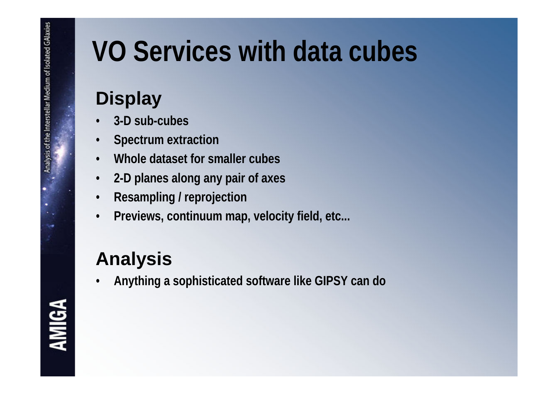## **VO Services with data cubes**

#### **Display**

- •**3-D sub-cubes**
- $\bullet$ **Spectrum extraction**
- •**Whole dataset for smaller cubes**
- •**2-D planes along any pair of axes**
- $\bullet$ **Resampling / reprojection**
- •**Previews, continuum map, velocity field, etc...**

#### **Analysis**

•**Anything a sophisticated software like GIPSY can do**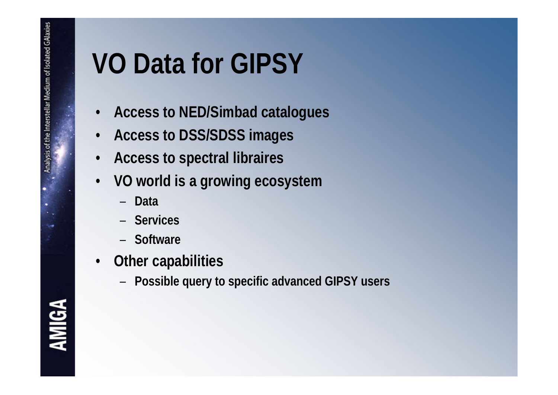## **VO Data for GIPSY**

- •**Access to NED/Simbad catalogues**
- •**Access to DSS/SDSS images**
- •**Access to spectral libraires**
- • **VO world is a growing ecosystem**
	- **Data**
	- **Services**
	- **Software**
- • **Other capabilities**
	- –**Possible query to specific advanced GIPSY users**

**AMIGA**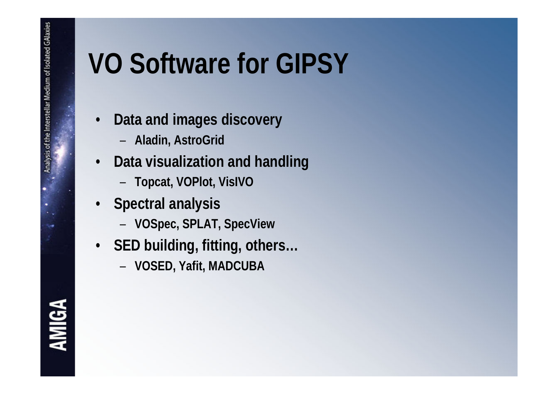## **VO Software for GIPSY**

- • **Data and images discovery**
	- **Aladin, AstroGrid**
- $\bullet$  **Data visualization and handling**
	- –**Topcat, VOPlot, VisIVO**
- **Spectral analysis**
	- –**VOSpec, SPLAT, SpecView**
- **SED building, fitting, others…**
	- **VOSED, Yafit, MADCUBA**

**AMIGA**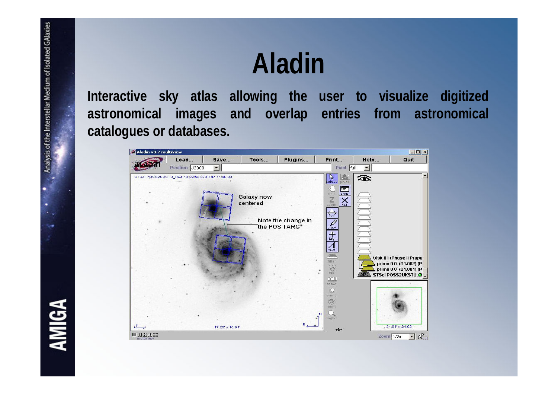## **Aladin**

**Interactive sky atlas allowing the user to visualize digitized astronomical images and overlap entries from astronomical catalogues or databases.**



**AMIGA**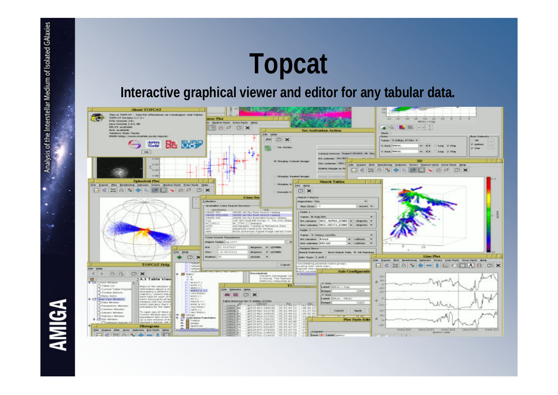## **Topcat**

#### **Interactive graphical viewer and editor for any tabular data.**



**AMIGA** 

Analysis of the Interstellar Medium of Isolated GAlaxies

.

×.

-4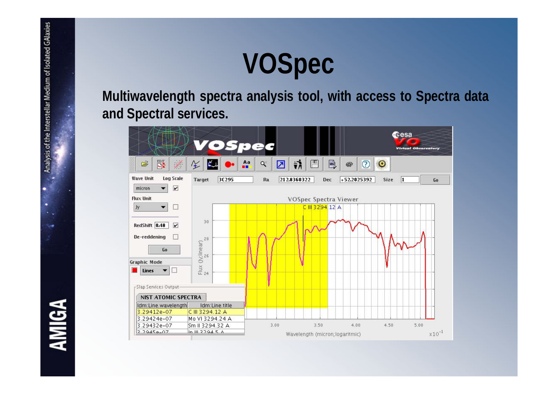## **VOSpec**

**Multiwavelength spectra analysis tool, with access to Spectra data and Spectral services.**